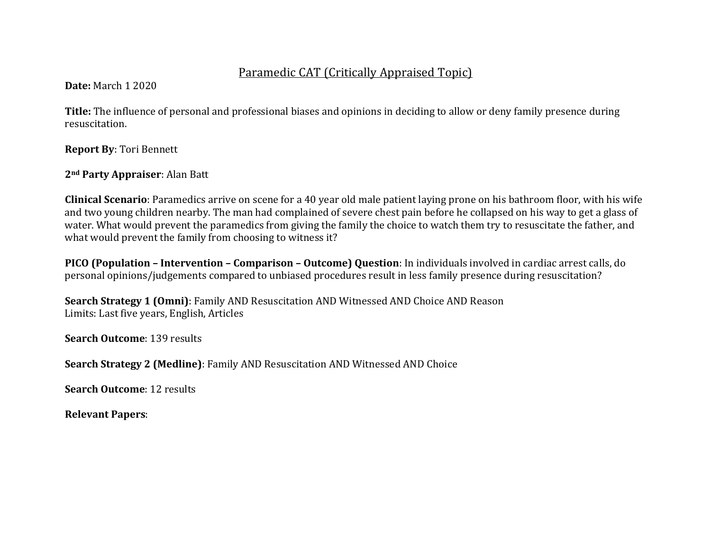# Paramedic CAT (Critically Appraised Topic)

**Date:** March 1 2020

**Title:** The influence of personal and professional biases and opinions in deciding to allow or deny family presence during resuscitation.

**Report By: Tori Bennett** 

# 2<sup>nd</sup> Party Appraiser: Alan Batt

**Clinical Scenario**: Paramedics arrive on scene for a 40 year old male patient laying prone on his bathroom floor, with his wife and two young children nearby. The man had complained of severe chest pain before he collapsed on his way to get a glass of water. What would prevent the paramedics from giving the family the choice to watch them try to resuscitate the father, and what would prevent the family from choosing to witness it?

**PICO (Population – Intervention – Comparison – Outcome) Question**: In individuals involved in cardiac arrest calls, do personal opinions/judgements compared to unbiased procedures result in less family presence during resuscitation?

**Search Strategy 1 (Omni)**: Family AND Resuscitation AND Witnessed AND Choice AND Reason Limits: Last five years, English, Articles

**Search Outcome: 139 results** 

**Search Strategy 2 (Medline)**: Family AND Resuscitation AND Witnessed AND Choice

**Search Outcome: 12 results** 

**Relevant Papers**: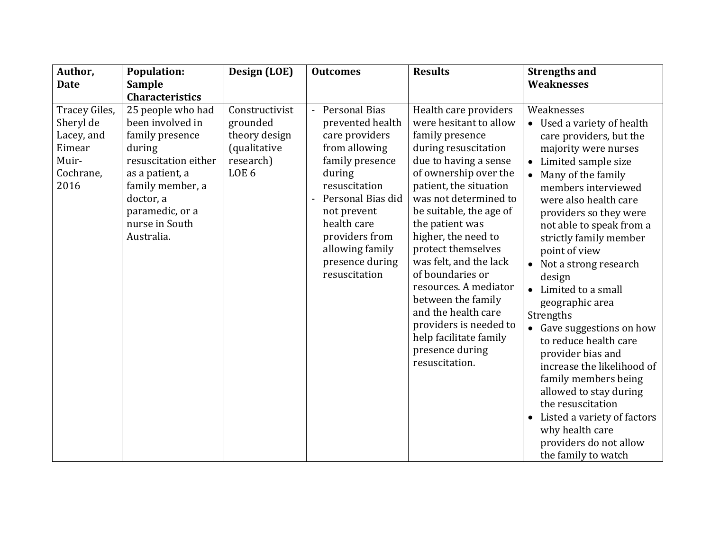| Author,                                                                          | <b>Population:</b>                                                                                                                                                                                | Design (LOE)                                                                                 | <b>Outcomes</b>                                                                                                                                                                                                                                                            | <b>Results</b>                                                                                                                                                                                                                                                                                                                                                                                                                                                                                          | <b>Strengths and</b>                                                                                                                                                                                                                                                                                                                                                                                                                                                                                                                                                                                                                                                                                                                              |
|----------------------------------------------------------------------------------|---------------------------------------------------------------------------------------------------------------------------------------------------------------------------------------------------|----------------------------------------------------------------------------------------------|----------------------------------------------------------------------------------------------------------------------------------------------------------------------------------------------------------------------------------------------------------------------------|---------------------------------------------------------------------------------------------------------------------------------------------------------------------------------------------------------------------------------------------------------------------------------------------------------------------------------------------------------------------------------------------------------------------------------------------------------------------------------------------------------|---------------------------------------------------------------------------------------------------------------------------------------------------------------------------------------------------------------------------------------------------------------------------------------------------------------------------------------------------------------------------------------------------------------------------------------------------------------------------------------------------------------------------------------------------------------------------------------------------------------------------------------------------------------------------------------------------------------------------------------------------|
| <b>Date</b>                                                                      | <b>Sample</b><br><b>Characteristics</b>                                                                                                                                                           |                                                                                              |                                                                                                                                                                                                                                                                            |                                                                                                                                                                                                                                                                                                                                                                                                                                                                                                         | Weaknesses                                                                                                                                                                                                                                                                                                                                                                                                                                                                                                                                                                                                                                                                                                                                        |
| Tracey Giles,<br>Sheryl de<br>Lacey, and<br>Eimear<br>Muir-<br>Cochrane,<br>2016 | 25 people who had<br>been involved in<br>family presence<br>during<br>resuscitation either<br>as a patient, a<br>family member, a<br>doctor, a<br>paramedic, or a<br>nurse in South<br>Australia. | Constructivist<br>grounded<br>theory design<br>(qualitative<br>research)<br>LOE <sub>6</sub> | Personal Bias<br>$\overline{\phantom{0}}$<br>prevented health<br>care providers<br>from allowing<br>family presence<br>during<br>resuscitation<br>Personal Bias did<br>not prevent<br>health care<br>providers from<br>allowing family<br>presence during<br>resuscitation | Health care providers<br>were hesitant to allow<br>family presence<br>during resuscitation<br>due to having a sense<br>of ownership over the<br>patient, the situation<br>was not determined to<br>be suitable, the age of<br>the patient was<br>higher, the need to<br>protect themselves<br>was felt, and the lack<br>of boundaries or<br>resources. A mediator<br>between the family<br>and the health care<br>providers is needed to<br>help facilitate family<br>presence during<br>resuscitation. | Weaknesses<br>• Used a variety of health<br>care providers, but the<br>majority were nurses<br>Limited sample size<br>$\bullet$<br>Many of the family<br>$\bullet$<br>members interviewed<br>were also health care<br>providers so they were<br>not able to speak from a<br>strictly family member<br>point of view<br>Not a strong research<br>$\bullet$<br>design<br>Limited to a small<br>$\bullet$<br>geographic area<br>Strengths<br>Gave suggestions on how<br>$\bullet$<br>to reduce health care<br>provider bias and<br>increase the likelihood of<br>family members being<br>allowed to stay during<br>the resuscitation<br>Listed a variety of factors<br>$\bullet$<br>why health care<br>providers do not allow<br>the family to watch |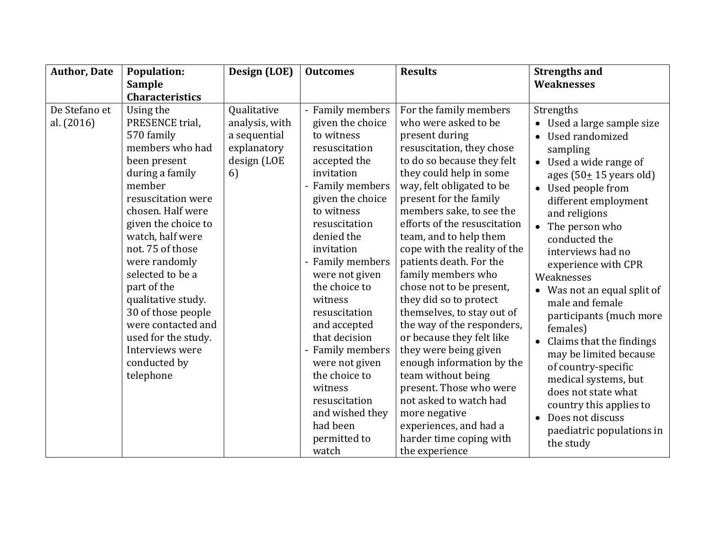| <b>Author, Date</b>         | <b>Population:</b>                                                                                                                                                                                                                                                                                                                                                                                                | Design (LOE)                                                                      | <b>Outcomes</b>                                                                                                                                                                                                                                                                                                                                                                                                                            | <b>Results</b>                                                                                                                                                                                                                                                                                                                                                                                                                                                                                                                                                                                                                                                                                                  | <b>Strengths and</b>                                                                                                                                                                                                                                                                                                                                                                                                                                                                                                                                                                                                           |
|-----------------------------|-------------------------------------------------------------------------------------------------------------------------------------------------------------------------------------------------------------------------------------------------------------------------------------------------------------------------------------------------------------------------------------------------------------------|-----------------------------------------------------------------------------------|--------------------------------------------------------------------------------------------------------------------------------------------------------------------------------------------------------------------------------------------------------------------------------------------------------------------------------------------------------------------------------------------------------------------------------------------|-----------------------------------------------------------------------------------------------------------------------------------------------------------------------------------------------------------------------------------------------------------------------------------------------------------------------------------------------------------------------------------------------------------------------------------------------------------------------------------------------------------------------------------------------------------------------------------------------------------------------------------------------------------------------------------------------------------------|--------------------------------------------------------------------------------------------------------------------------------------------------------------------------------------------------------------------------------------------------------------------------------------------------------------------------------------------------------------------------------------------------------------------------------------------------------------------------------------------------------------------------------------------------------------------------------------------------------------------------------|
|                             | <b>Sample</b>                                                                                                                                                                                                                                                                                                                                                                                                     |                                                                                   |                                                                                                                                                                                                                                                                                                                                                                                                                                            |                                                                                                                                                                                                                                                                                                                                                                                                                                                                                                                                                                                                                                                                                                                 | <b>Weaknesses</b>                                                                                                                                                                                                                                                                                                                                                                                                                                                                                                                                                                                                              |
|                             | <b>Characteristics</b>                                                                                                                                                                                                                                                                                                                                                                                            |                                                                                   |                                                                                                                                                                                                                                                                                                                                                                                                                                            |                                                                                                                                                                                                                                                                                                                                                                                                                                                                                                                                                                                                                                                                                                                 |                                                                                                                                                                                                                                                                                                                                                                                                                                                                                                                                                                                                                                |
| De Stefano et<br>al. (2016) | Using the<br>PRESENCE trial,<br>570 family<br>members who had<br>been present<br>during a family<br>member<br>resuscitation were<br>chosen. Half were<br>given the choice to<br>watch, half were<br>not. 75 of those<br>were randomly<br>selected to be a<br>part of the<br>qualitative study.<br>30 of those people<br>were contacted and<br>used for the study.<br>Interviews were<br>conducted by<br>telephone | Qualitative<br>analysis, with<br>a sequential<br>explanatory<br>design (LOE<br>6) | - Family members<br>given the choice<br>to witness<br>resuscitation<br>accepted the<br>invitation<br>- Family members<br>given the choice<br>to witness<br>resuscitation<br>denied the<br>invitation<br>- Family members<br>were not given<br>the choice to<br>witness<br>resuscitation<br>and accepted<br>that decision<br>- Family members<br>were not given<br>the choice to<br>witness<br>resuscitation<br>and wished they<br>had been | For the family members<br>who were asked to be<br>present during<br>resuscitation, they chose<br>to do so because they felt<br>they could help in some<br>way, felt obligated to be<br>present for the family<br>members sake, to see the<br>efforts of the resuscitation<br>team, and to help them<br>cope with the reality of the<br>patients death. For the<br>family members who<br>chose not to be present,<br>they did so to protect<br>themselves, to stay out of<br>the way of the responders,<br>or because they felt like<br>they were being given<br>enough information by the<br>team without being<br>present. Those who were<br>not asked to watch had<br>more negative<br>experiences, and had a | Strengths<br>• Used a large sample size<br>Used randomized<br>$\bullet$<br>sampling<br>Used a wide range of<br>ages $(50 \pm 15$ years old)<br>Used people from<br>$\bullet$<br>different employment<br>and religions<br>The person who<br>conducted the<br>interviews had no<br>experience with CPR<br>Weaknesses<br>Was not an equal split of<br>male and female<br>participants (much more<br>females)<br>Claims that the findings<br>may be limited because<br>of country-specific<br>medical systems, but<br>does not state what<br>country this applies to<br>Does not discuss<br>$\bullet$<br>paediatric populations in |
|                             |                                                                                                                                                                                                                                                                                                                                                                                                                   |                                                                                   | permitted to<br>watch                                                                                                                                                                                                                                                                                                                                                                                                                      | harder time coping with<br>the experience                                                                                                                                                                                                                                                                                                                                                                                                                                                                                                                                                                                                                                                                       | the study                                                                                                                                                                                                                                                                                                                                                                                                                                                                                                                                                                                                                      |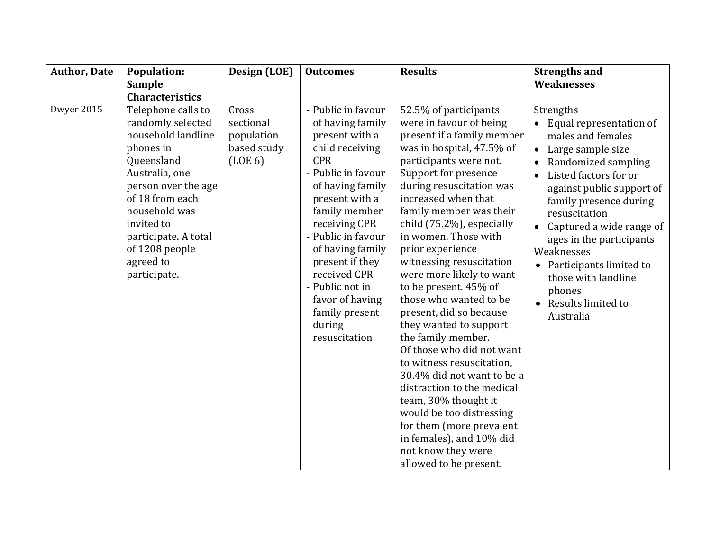| <b>Author, Date</b> | <b>Population:</b>                                                                                                                                                                                                                                         | Design (LOE)                                               | <b>Outcomes</b>                                                                                                                                                                                                                                                                                                                                         | <b>Results</b>                                                                                                                                                                                                                                                                                                                                                                                                                                                                                                                                                                                                                                                                                                                                                                               | <b>Strengths and</b>                                                                                                                                                                                                                                                                                                                                                                                               |
|---------------------|------------------------------------------------------------------------------------------------------------------------------------------------------------------------------------------------------------------------------------------------------------|------------------------------------------------------------|---------------------------------------------------------------------------------------------------------------------------------------------------------------------------------------------------------------------------------------------------------------------------------------------------------------------------------------------------------|----------------------------------------------------------------------------------------------------------------------------------------------------------------------------------------------------------------------------------------------------------------------------------------------------------------------------------------------------------------------------------------------------------------------------------------------------------------------------------------------------------------------------------------------------------------------------------------------------------------------------------------------------------------------------------------------------------------------------------------------------------------------------------------------|--------------------------------------------------------------------------------------------------------------------------------------------------------------------------------------------------------------------------------------------------------------------------------------------------------------------------------------------------------------------------------------------------------------------|
|                     | <b>Sample</b>                                                                                                                                                                                                                                              |                                                            |                                                                                                                                                                                                                                                                                                                                                         |                                                                                                                                                                                                                                                                                                                                                                                                                                                                                                                                                                                                                                                                                                                                                                                              | <b>Weaknesses</b>                                                                                                                                                                                                                                                                                                                                                                                                  |
|                     | <b>Characteristics</b>                                                                                                                                                                                                                                     |                                                            |                                                                                                                                                                                                                                                                                                                                                         |                                                                                                                                                                                                                                                                                                                                                                                                                                                                                                                                                                                                                                                                                                                                                                                              |                                                                                                                                                                                                                                                                                                                                                                                                                    |
| Dwyer 2015          | Telephone calls to<br>randomly selected<br>household landline<br>phones in<br>Queensland<br>Australia, one<br>person over the age<br>of 18 from each<br>household was<br>invited to<br>participate. A total<br>of 1208 people<br>agreed to<br>participate. | Cross<br>sectional<br>population<br>based study<br>(LOE 6) | - Public in favour<br>of having family<br>present with a<br>child receiving<br><b>CPR</b><br>- Public in favour<br>of having family<br>present with a<br>family member<br>receiving CPR<br>- Public in favour<br>of having family<br>present if they<br>received CPR<br>- Public not in<br>favor of having<br>family present<br>during<br>resuscitation | 52.5% of participants<br>were in favour of being<br>present if a family member<br>was in hospital, 47.5% of<br>participants were not.<br>Support for presence<br>during resuscitation was<br>increased when that<br>family member was their<br>child (75.2%), especially<br>in women. Those with<br>prior experience<br>witnessing resuscitation<br>were more likely to want<br>to be present. 45% of<br>those who wanted to be<br>present, did so because<br>they wanted to support<br>the family member.<br>Of those who did not want<br>to witness resuscitation,<br>30.4% did not want to be a<br>distraction to the medical<br>team, 30% thought it<br>would be too distressing<br>for them (more prevalent<br>in females), and 10% did<br>not know they were<br>allowed to be present. | Strengths<br>Equal representation of<br>males and females<br>Large sample size<br>$\bullet$<br>Randomized sampling<br>$\bullet$<br>Listed factors for or<br>$\bullet$<br>against public support of<br>family presence during<br>resuscitation<br>Captured a wide range of<br>ages in the participants<br>Weaknesses<br>Participants limited to<br>those with landline<br>phones<br>Results limited to<br>Australia |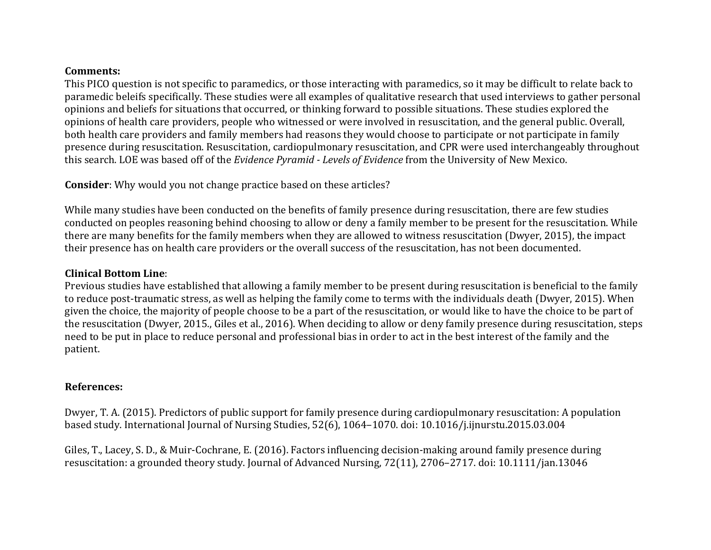#### **Comments:**

This PICO question is not specific to paramedics, or those interacting with paramedics, so it may be difficult to relate back to paramedic beleifs specifically. These studies were all examples of qualitative research that used interviews to gather personal opinions and beliefs for situations that occurred, or thinking forward to possible situations. These studies explored the opinions of health care providers, people who witnessed or were involved in resuscitation, and the general public. Overall, both health care providers and family members had reasons they would choose to participate or not participate in family presence during resuscitation. Resuscitation, cardiopulmonary resuscitation, and CPR were used interchangeably throughout this search. LOE was based off of the *Evidence Pyramid - Levels of Evidence* from the University of New Mexico.

**Consider**: Why would you not change practice based on these articles?

While many studies have been conducted on the benefits of family presence during resuscitation, there are few studies conducted on peoples reasoning behind choosing to allow or deny a family member to be present for the resuscitation. While there are many benefits for the family members when they are allowed to witness resuscitation (Dwyer, 2015), the impact their presence has on health care providers or the overall success of the resuscitation, has not been documented.

### **Clinical Bottom Line**:

Previous studies have established that allowing a family member to be present during resuscitation is beneficial to the family to reduce post-traumatic stress, as well as helping the family come to terms with the individuals death (Dwyer, 2015). When given the choice, the majority of people choose to be a part of the resuscitation, or would like to have the choice to be part of the resuscitation (Dwyer, 2015., Giles et al., 2016). When deciding to allow or deny family presence during resuscitation, steps need to be put in place to reduce personal and professional bias in order to act in the best interest of the family and the patient. 

## **References:**

Dwyer, T. A. (2015). Predictors of public support for family presence during cardiopulmonary resuscitation: A population based study. International Journal of Nursing Studies, 52(6), 1064–1070. doi: 10.1016/j.ijnurstu.2015.03.004

Giles, T., Lacey, S. D., & Muir-Cochrane, E. (2016). Factors influencing decision-making around family presence during resuscitation: a grounded theory study. Journal of Advanced Nursing, 72(11), 2706–2717. doi: 10.1111/jan.13046